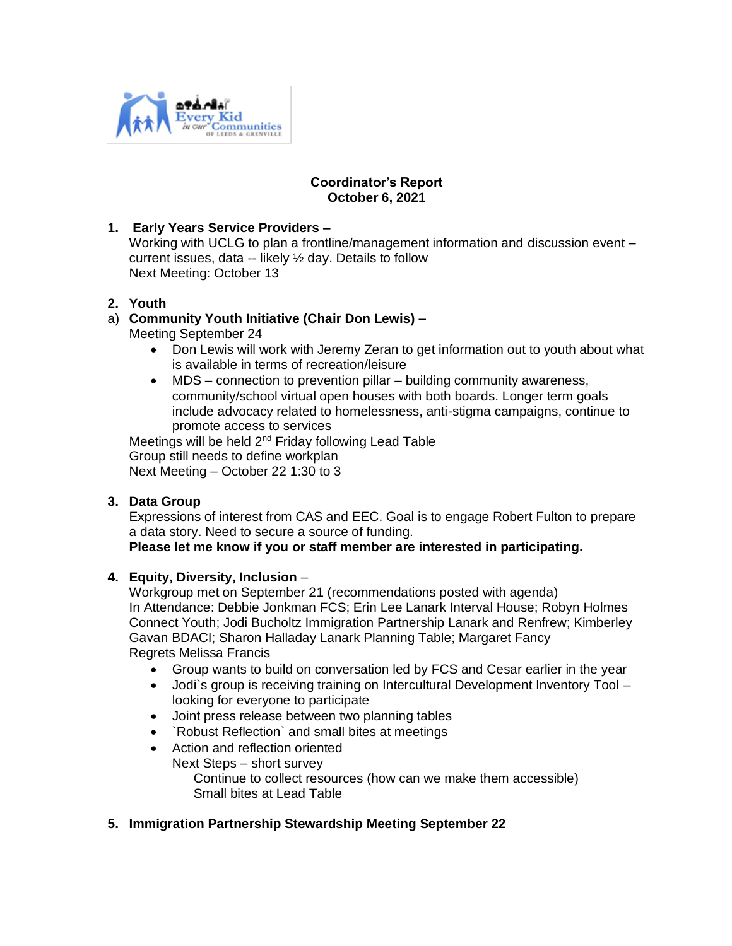

### **Coordinator's Report October 6, 2021**

# **1. Early Years Service Providers –**

Working with UCLG to plan a frontline/management information and discussion event – current issues, data -- likely ½ day. Details to follow Next Meeting: October 13

### **2. Youth**

### a) **Community Youth Initiative (Chair Don Lewis) –**

Meeting September 24

- Don Lewis will work with Jeremy Zeran to get information out to youth about what is available in terms of recreation/leisure
- MDS connection to prevention pillar building community awareness, community/school virtual open houses with both boards. Longer term goals include advocacy related to homelessness, anti-stigma campaigns, continue to promote access to services

Meetings will be held 2<sup>nd</sup> Friday following Lead Table Group still needs to define workplan Next Meeting – October 22 1:30 to 3

### **3. Data Group**

Expressions of interest from CAS and EEC. Goal is to engage Robert Fulton to prepare a data story. Need to secure a source of funding.

# **Please let me know if you or staff member are interested in participating.**

### **4. Equity, Diversity, Inclusion** –

Workgroup met on September 21 (recommendations posted with agenda) In Attendance: Debbie Jonkman FCS; Erin Lee Lanark Interval House; Robyn Holmes Connect Youth; Jodi Bucholtz Immigration Partnership Lanark and Renfrew; Kimberley Gavan BDACI; Sharon Halladay Lanark Planning Table; Margaret Fancy Regrets Melissa Francis

- Group wants to build on conversation led by FCS and Cesar earlier in the year
- Jodi`s group is receiving training on Intercultural Development Inventory Tool looking for everyone to participate
- Joint press release between two planning tables
- `Robust Reflection` and small bites at meetings
- Action and reflection oriented Next Steps – short survey Continue to collect resources (how can we make them accessible) Small bites at Lead Table

### **5. Immigration Partnership Stewardship Meeting September 22**